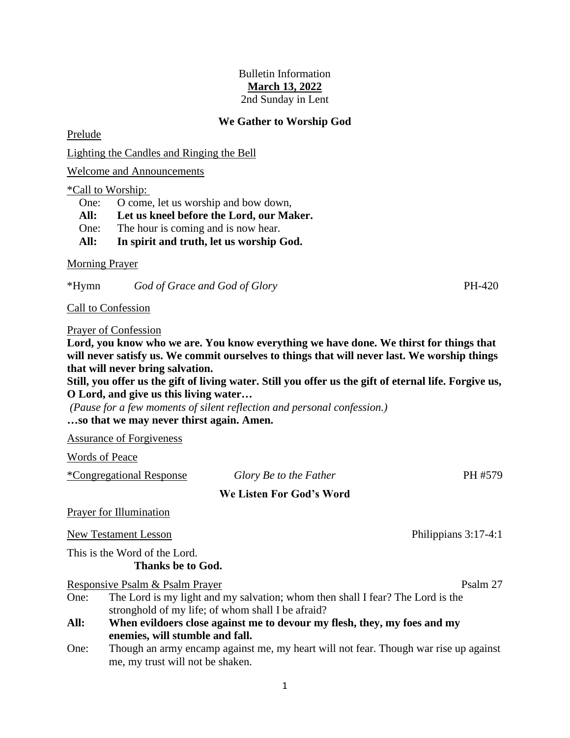## Bulletin Information **March 13, 2022** 2nd Sunday in Lent

## **We Gather to Worship God**

Prelude

Lighting the Candles and Ringing the Bell

Welcome and Announcements

\*Call to Worship:

One: O come, let us worship and bow down,

**All: Let us kneel before the Lord, our Maker.**

One: The hour is coming and is now hear.

**All: In spirit and truth, let us worship God.**

Morning Prayer

\*Hymn *God of Grace and God of Glory* PH-420

Call to Confession

Prayer of Confession

**Lord, you know who we are. You know everything we have done. We thirst for things that will never satisfy us. We commit ourselves to things that will never last. We worship things that will never bring salvation.** 

**Still, you offer us the gift of living water. Still you offer us the gift of eternal life. Forgive us, O Lord, and give us this living water…**

*(Pause for a few moments of silent reflection and personal confession.)* **…so that we may never thirst again. Amen.**

Assurance of Forgiveness

Words of Peace

\*Congregational Response *Glory Be to the Father* PH #579

**We Listen For God's Word**

Prayer for Illumination

New Testament Lesson **Philippians 3:17-4:1** 

This is the Word of the Lord. **Thanks be to God.**

Responsive Psalm & Psalm Prayer Psalm 27

One: The Lord is my light and my salvation; whom then shall I fear? The Lord is the stronghold of my life; of whom shall I be afraid?

**All: When evildoers close against me to devour my flesh, they, my foes and my enemies, will stumble and fall.**

One: Though an army encamp against me, my heart will not fear. Though war rise up against me, my trust will not be shaken.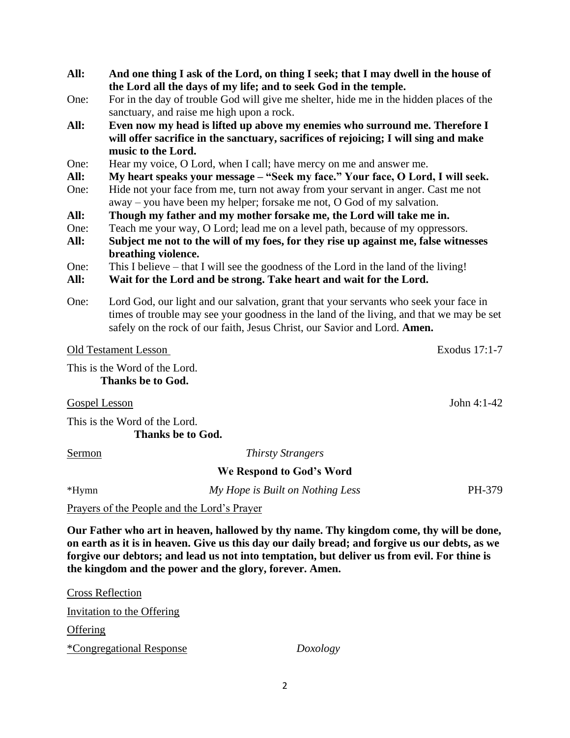- **All: And one thing I ask of the Lord, on thing I seek; that I may dwell in the house of the Lord all the days of my life; and to seek God in the temple.**
- One: For in the day of trouble God will give me shelter, hide me in the hidden places of the sanctuary, and raise me high upon a rock.
- **All: Even now my head is lifted up above my enemies who surround me. Therefore I will offer sacrifice in the sanctuary, sacrifices of rejoicing; I will sing and make music to the Lord.**
- One: Hear my voice, O Lord, when I call; have mercy on me and answer me.
- **All: My heart speaks your message – "Seek my face." Your face, O Lord, I will seek.**
- One: Hide not your face from me, turn not away from your servant in anger. Cast me not away – you have been my helper; forsake me not, O God of my salvation.
- **All: Though my father and my mother forsake me, the Lord will take me in.**
- One: Teach me your way, O Lord; lead me on a level path, because of my oppressors.
- **All: Subject me not to the will of my foes, for they rise up against me, false witnesses breathing violence.**
- One: This I believe that I will see the goodness of the Lord in the land of the living!
- **All: Wait for the Lord and be strong. Take heart and wait for the Lord.**
- One: Lord God, our light and our salvation, grant that your servants who seek your face in times of trouble may see your goodness in the land of the living, and that we may be set safely on the rock of our faith, Jesus Christ, our Savior and Lord. **Amen.**

## Old Testament Lesson Exodus 17:1-7

This is the Word of the Lord. **Thanks be to God.**

Gospel Lesson John 4:1-42

This is the Word of the Lord. **Thanks be to God.**

Sermon *Thirsty Strangers*

**We Respond to God's Word**

\*Hymn *My Hope is Built on Nothing Less* PH-379

Prayers of the People and the Lord's Prayer

**Our Father who art in heaven, hallowed by thy name. Thy kingdom come, thy will be done, on earth as it is in heaven. Give us this day our daily bread; and forgive us our debts, as we forgive our debtors; and lead us not into temptation, but deliver us from evil. For thine is the kingdom and the power and the glory, forever. Amen.**

Cross Reflection Invitation to the Offering **Offering** \*Congregational Response *Doxology*